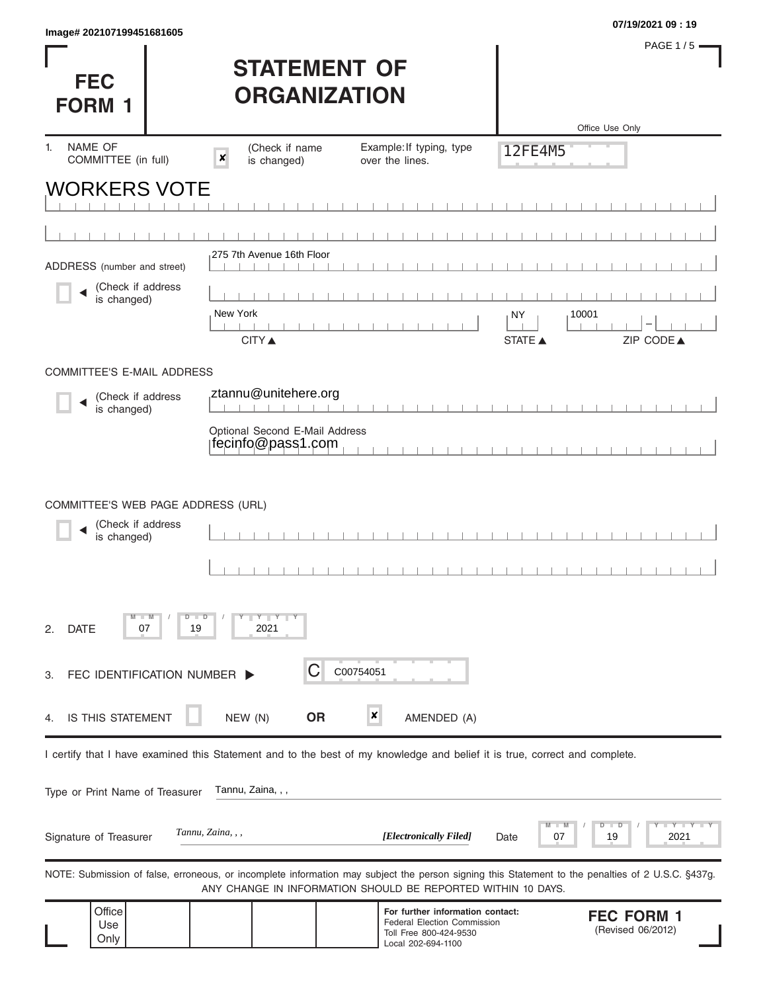| <b>FEC</b><br><b>FORM 1</b>                                            |                                    | <b>STATEMENT OF</b><br><b>ORGANIZATION</b>          |                                                                                                                                                                                                                   |                      | Office Use Only    | PAGE $1/5$ =                           |
|------------------------------------------------------------------------|------------------------------------|-----------------------------------------------------|-------------------------------------------------------------------------------------------------------------------------------------------------------------------------------------------------------------------|----------------------|--------------------|----------------------------------------|
| NAME OF<br>1.<br>COMMITTEE (in full)                                   |                                    | (Check if name<br>$\boldsymbol{x}$<br>is changed)   | Example: If typing, type<br>over the lines.                                                                                                                                                                       | 12FE4M5              |                    |                                        |
| WORKERS VOTE                                                           |                                    |                                                     |                                                                                                                                                                                                                   |                      |                    |                                        |
|                                                                        |                                    |                                                     |                                                                                                                                                                                                                   |                      |                    |                                        |
|                                                                        |                                    | 275 7th Avenue 16th Floor                           |                                                                                                                                                                                                                   |                      |                    |                                        |
| ADDRESS (number and street)<br>(Check if address                       |                                    |                                                     |                                                                                                                                                                                                                   |                      |                    |                                        |
| is changed)                                                            |                                    | New York<br><b>CITY</b> ▲                           |                                                                                                                                                                                                                   | NY<br><b>STATE ▲</b> | 10001              | ZIP CODE▲                              |
| <b>COMMITTEE'S E-MAIL ADDRESS</b>                                      |                                    |                                                     |                                                                                                                                                                                                                   |                      |                    |                                        |
| (Check if address<br>is changed)                                       |                                    | ztannu@unitehere.org                                |                                                                                                                                                                                                                   |                      |                    |                                        |
|                                                                        |                                    | Optional Second E-Mail Address<br>fecinfo@pass1.com |                                                                                                                                                                                                                   |                      |                    |                                        |
| COMMITTEE'S WEB PAGE ADDRESS (URL)<br>(Check if address<br>is changed) |                                    |                                                     |                                                                                                                                                                                                                   |                      |                    |                                        |
| M<br><b>DATE</b><br>2.<br>07                                           | $\blacksquare$ M<br>D<br>⊪ D<br>19 | $Y$ $Y$ $Y$<br>2021                                 |                                                                                                                                                                                                                   |                      |                    |                                        |
| FEC IDENTIFICATION NUMBER  <br>3.                                      |                                    | C                                                   | C00754051                                                                                                                                                                                                         |                      |                    |                                        |
| IS THIS STATEMENT<br>4.                                                |                                    | <b>OR</b><br>NEW (N)                                | $\boldsymbol{x}$<br>AMENDED (A)                                                                                                                                                                                   |                      |                    |                                        |
|                                                                        |                                    |                                                     | I certify that I have examined this Statement and to the best of my knowledge and belief it is true, correct and complete.                                                                                        |                      |                    |                                        |
| Type or Print Name of Treasurer                                        |                                    | Tannu, Zaina, , ,                                   |                                                                                                                                                                                                                   |                      |                    |                                        |
| Signature of Treasurer                                                 |                                    | Tannu, Zaina, , ,                                   | [Electronically Filed]                                                                                                                                                                                            | Date                 | D<br>D<br>19<br>07 | 2021                                   |
|                                                                        |                                    |                                                     | NOTE: Submission of false, erroneous, or incomplete information may subject the person signing this Statement to the penalties of 2 U.S.C. §437g.<br>ANY CHANGE IN INFORMATION SHOULD BE REPORTED WITHIN 10 DAYS. |                      |                    |                                        |
| Office<br>Use<br>Only                                                  |                                    |                                                     | For further information contact:<br>Federal Election Commission<br>Toll Free 800-424-9530<br>Local 202-694-1100                                                                                                   |                      |                    | <b>FEC FORM 1</b><br>(Revised 06/2012) |

Local 202-694-1100

PAGE 1 / 5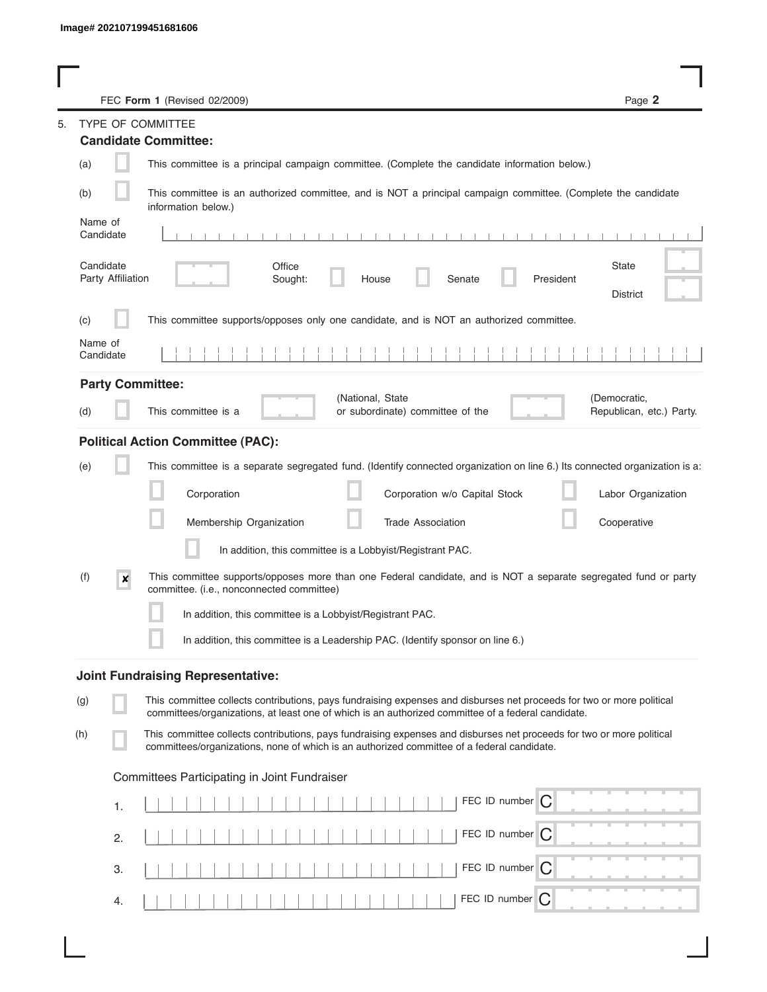| FEC Form 1 (Revised 02/2009)                                                                                                                                                                                                       | Page 2                                   |
|------------------------------------------------------------------------------------------------------------------------------------------------------------------------------------------------------------------------------------|------------------------------------------|
| TYPE OF COMMITTEE                                                                                                                                                                                                                  |                                          |
| <b>Candidate Committee:</b>                                                                                                                                                                                                        |                                          |
| (a)<br>This committee is a principal campaign committee. (Complete the candidate information below.)                                                                                                                               |                                          |
| This committee is an authorized committee, and is NOT a principal campaign committee. (Complete the candidate<br>(b)<br>information below.)                                                                                        |                                          |
| Name of<br>Candidate                                                                                                                                                                                                               |                                          |
| Candidate<br>Office<br>Party Affiliation<br>Senate<br>President<br>Sought:<br>House                                                                                                                                                | State<br><b>District</b>                 |
| This committee supports/opposes only one candidate, and is NOT an authorized committee.<br>(c)                                                                                                                                     |                                          |
| Name of<br>Candidate                                                                                                                                                                                                               |                                          |
| <b>Party Committee:</b>                                                                                                                                                                                                            |                                          |
| (National, State<br>This committee is a<br>or subordinate) committee of the<br>(d)                                                                                                                                                 | (Democratic,<br>Republican, etc.) Party. |
| <b>Political Action Committee (PAC):</b>                                                                                                                                                                                           |                                          |
| This committee is a separate segregated fund. (Identify connected organization on line 6.) Its connected organization is a:<br>(e)                                                                                                 |                                          |
| Corporation<br>Corporation w/o Capital Stock                                                                                                                                                                                       | Labor Organization                       |
| Membership Organization<br><b>Trade Association</b>                                                                                                                                                                                | Cooperative                              |
| In addition, this committee is a Lobbyist/Registrant PAC.                                                                                                                                                                          |                                          |
| (f)<br>This committee supports/opposes more than one Federal candidate, and is NOT a separate segregated fund or party<br>$\boldsymbol{x}$<br>committee. (i.e., nonconnected committee)                                            |                                          |
| In addition, this committee is a Lobbyist/Registrant PAC.                                                                                                                                                                          |                                          |
| In addition, this committee is a Leadership PAC. (Identify sponsor on line 6.)                                                                                                                                                     |                                          |
| <b>Joint Fundraising Representative:</b>                                                                                                                                                                                           |                                          |
| This committee collects contributions, pays fundraising expenses and disburses net proceeds for two or more political<br>(g)<br>committees/organizations, at least one of which is an authorized committee of a federal candidate. |                                          |
| This committee collects contributions, pays fundraising expenses and disburses net proceeds for two or more political<br>(h)<br>committees/organizations, none of which is an authorized committee of a federal candidate.         |                                          |
| Committees Participating in Joint Fundraiser                                                                                                                                                                                       |                                          |
| FEC ID number C<br>1.                                                                                                                                                                                                              |                                          |
| FEC ID number C<br>2.                                                                                                                                                                                                              |                                          |
| FEC ID number $\bigcap$<br>3.                                                                                                                                                                                                      |                                          |
| FEC ID number<br>C<br>4.                                                                                                                                                                                                           |                                          |

I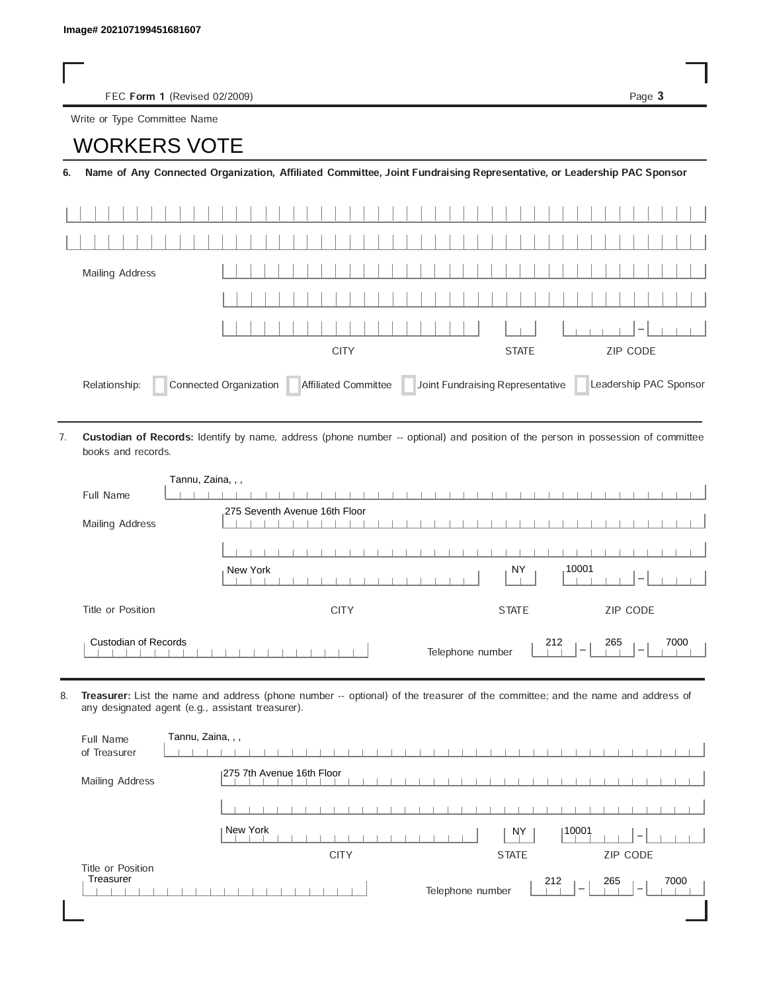FEC Form 1 (Revised 02/2009) Page 3

Write or Type Committee Name

## Image# 202107199451681607<br>
FEC Form 1 (Revised 02/200<br>
Write or Type Committee Name<br> **IMORKERS VOTE**

6. Name of Any Connected Organization, Affiliated Committee, Joint Fundraising Representative, or Leadership PAC Sponsor

| Mailing Address                                                                                                            |             |              |          |  |
|----------------------------------------------------------------------------------------------------------------------------|-------------|--------------|----------|--|
|                                                                                                                            |             |              |          |  |
|                                                                                                                            |             |              | $1-1$    |  |
|                                                                                                                            | <b>CITY</b> | <b>STATE</b> | ZIP CODE |  |
| Affiliated Committee Joint Fundraising Representative<br>Connected Organization<br>Leadership PAC Sponsor<br>Relationship: |             |              |          |  |

Custodian of Records: Identify by name, address (phone number -- optional) and position of the person in possession of committee books and records. 7.

| Tannu, Zaina, , ,           |                                                                                                |
|-----------------------------|------------------------------------------------------------------------------------------------|
| Full Name                   |                                                                                                |
|                             | 275 Seventh Avenue 16th Floor                                                                  |
| Mailing Address             |                                                                                                |
|                             |                                                                                                |
|                             | .10001<br>NY<br>New York                                                                       |
| Title or Position           | ZIP CODE<br><b>STATE</b><br><b>CITY</b>                                                        |
| <b>Custodian of Records</b> | 212<br>265<br>7000<br>Telephone number<br>$\overline{\phantom{a}}$<br>$\overline{\phantom{a}}$ |

8. Treasurer: List the name and address (phone number -- optional) of the treasurer of the committee; and the name and address of any designated agent (e.g., assistant treasurer).

| Full Name<br>of Treasurer      | Tannu, Zaina, , ,                                                            |
|--------------------------------|------------------------------------------------------------------------------|
| Mailing Address                | 1275 7th Avenue 16th Floor                                                   |
|                                |                                                                              |
|                                | New York<br>10001<br><b>NY</b><br>$\hspace{0.1mm}-\hspace{0.1mm}$            |
|                                | ZIP CODE<br><b>CITY</b><br><b>STATE</b>                                      |
| Title or Position<br>Treasurer | 265<br>212<br>7000<br>Telephone number<br>$\overline{\phantom{a}}$<br>$\sim$ |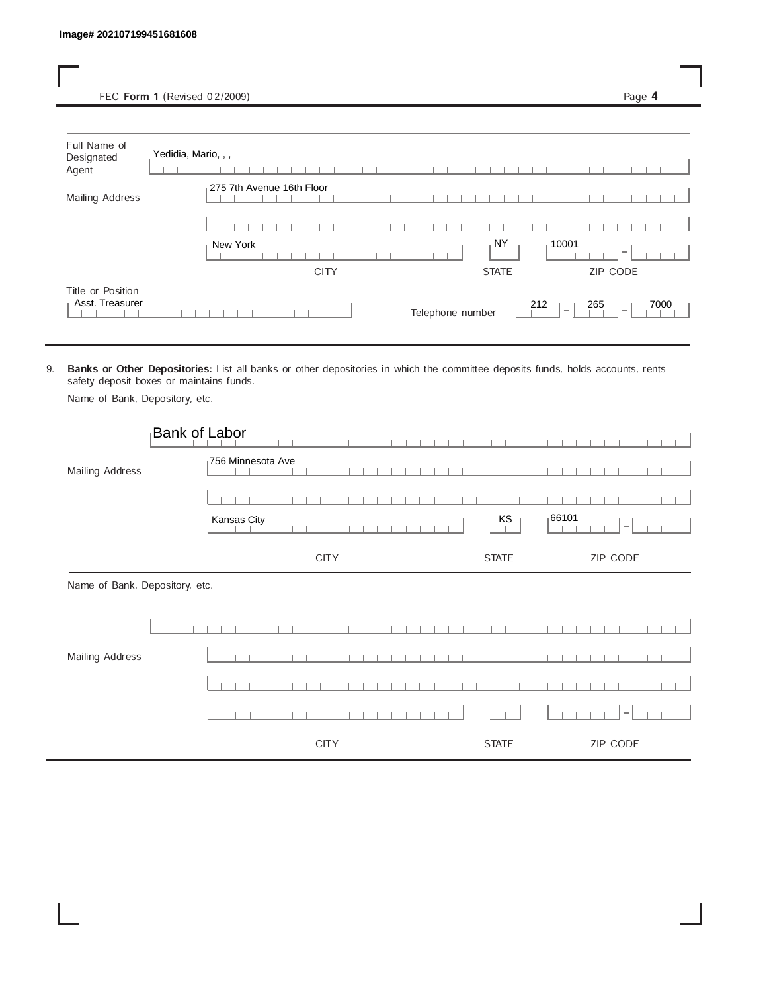FEC Form 1 (Revised 02/2009) Page 4

| Full Name of<br>Designated<br>Agent  | Yedidia, Mario, , ,                                 |                          |
|--------------------------------------|-----------------------------------------------------|--------------------------|
| Mailing Address                      | 275 7th Avenue 16th Floor                           |                          |
|                                      |                                                     |                          |
|                                      | NY<br>10001<br>New York                             | $\overline{\phantom{a}}$ |
|                                      | <b>CITY</b><br><b>STATE</b>                         | ZIP CODE                 |
| Title or Position<br>Asst. Treasurer | 212<br>Telephone number<br>$\overline{\phantom{a}}$ | 265<br>7000<br>$\sim$    |

9. Banks or Other Depositories: List all banks or other depositories in which the committee deposits funds, holds accounts, rents safety deposit boxes or maintains funds.

Name of Bank, Depository, etc.

|                                | <b>Bank of Labor</b> |              |                                    |
|--------------------------------|----------------------|--------------|------------------------------------|
| Mailing Address                | 756 Minnesota Ave    |              |                                    |
|                                |                      |              |                                    |
|                                | <b>Kansas City</b>   | KS           | 166101<br>$\overline{\phantom{a}}$ |
|                                | <b>CITY</b>          | <b>STATE</b> | ZIP CODE                           |
| Name of Bank, Depository, etc. |                      |              |                                    |
|                                |                      |              |                                    |
| Mailing Address                |                      |              |                                    |
|                                |                      |              |                                    |
|                                |                      |              |                                    |
|                                | <b>CITY</b>          | <b>STATE</b> | ZIP CODE                           |